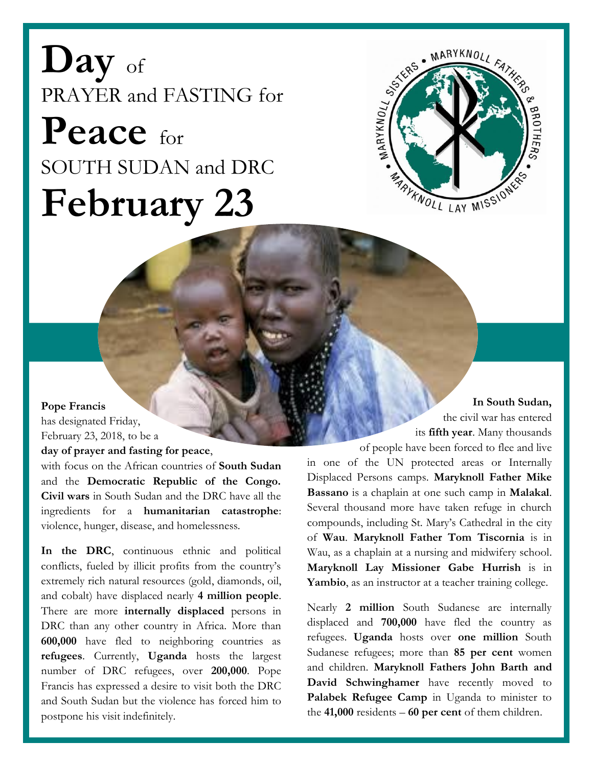**Day** of PRAYER and FASTING for **Peace** for SOUTH SUDAN and DRC **February 23**



## **Pope Francis**

has designated Friday, February 23, 2018, to be a

## **day of prayer and fasting for peace**,

with focus on the African countries of **South Sudan** and the **Democratic Republic of the Congo. Civil wars** in South Sudan and the DRC have all the ingredients for a **humanitarian catastrophe**: violence, hunger, disease, and homelessness.

**In the DRC**, continuous ethnic and political conflicts, fueled by illicit profits from the country's extremely rich natural resources (gold, diamonds, oil, and cobalt) have displaced nearly **4 million people**. There are more **internally displaced** persons in DRC than any other country in Africa. More than **600,000** have fled to neighboring countries as **refugees**. Currently, **Uganda** hosts the largest number of DRC refugees, over **200,000**. Pope Francis has expressed a desire to visit both the DRC and South Sudan but the violence has forced him to postpone his visit indefinitely.

**In South Sudan,** the civil war has entered its **fifth year**. Many thousands

of people have been forced to flee and live in one of the UN protected areas or Internally Displaced Persons camps. **Maryknoll Father Mike Bassano** is a chaplain at one such camp in **Malakal**. Several thousand more have taken refuge in church compounds, including St. Mary's Cathedral in the city of **Wau**. **Maryknoll Father Tom Tiscornia** is in Wau, as a chaplain at a nursing and midwifery school. **Maryknoll Lay Missioner Gabe Hurrish** is in **Yambio**, as an instructor at a teacher training college.

Nearly **2 million** South Sudanese are internally displaced and **700,000** have fled the country as refugees. **Uganda** hosts over **one million** South Sudanese refugees; more than **85 per cent** women and children. **Maryknoll Fathers John Barth and David Schwinghamer** have recently moved to Palabek Refugee Camp in Uganda to minister to the **41,000** residents – **60 per cent** of them children.